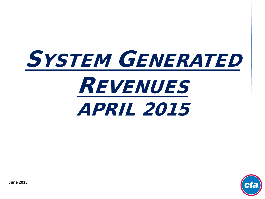# SYSTEM GENERATED REVENUES APRIL 2015



**June 2015**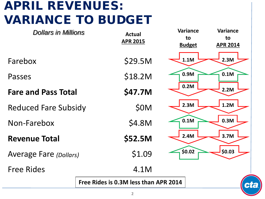# APRIL REVENUES: VARIANCE TO BUDGET

| <b>Dollars in Millions</b>    | <b>Actual</b><br><b>APR 2015</b>            | <b>Variance</b><br><b>Variance</b><br>to<br>to<br><b>Budget</b><br><b>APR 2014</b> |  |  |
|-------------------------------|---------------------------------------------|------------------------------------------------------------------------------------|--|--|
| Farebox                       | \$29.5M                                     | 2.3M<br>1.1M                                                                       |  |  |
| Passes                        | \$18.2M                                     | 0.9M<br>0.1M                                                                       |  |  |
| <b>Fare and Pass Total</b>    | \$47.7M                                     | 0.2M<br>2.2M                                                                       |  |  |
| <b>Reduced Fare Subsidy</b>   | \$0M                                        | 2.3M<br>1.2M                                                                       |  |  |
| Non-Farebox                   | \$4.8M                                      | 0.3M<br>0.1M                                                                       |  |  |
| <b>Revenue Total</b>          | \$52.5M                                     | 2.4M<br>3.7M                                                                       |  |  |
| <b>Average Fare (Dollars)</b> | \$1.09                                      | \$0.03\$<br>\$0.02                                                                 |  |  |
| <b>Free Rides</b>             | 4.1M                                        |                                                                                    |  |  |
|                               | Free Rides is 0.3M less than APR 2014<br>ct |                                                                                    |  |  |
|                               |                                             |                                                                                    |  |  |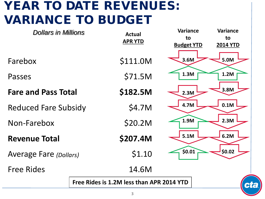### YEAR TO DATE REVENUES: VARIANCE TO BUDGET

| <b>Dollars in Millions</b>    |                                                 | <b>Actual</b>  | Variance                | <b>Variance</b>       |
|-------------------------------|-------------------------------------------------|----------------|-------------------------|-----------------------|
|                               |                                                 | <b>APR YTD</b> | to<br><b>Budget YTD</b> | to<br><b>2014 YTD</b> |
|                               |                                                 |                |                         |                       |
| Farebox                       |                                                 | \$111.0M       | 3.6M                    | 5.0M                  |
| Passes                        |                                                 | \$71.5M        | 1.3M                    | 1.2M                  |
| <b>Fare and Pass Total</b>    |                                                 | \$182.5M       | 2.3M                    | 3.8M                  |
| <b>Reduced Fare Subsidy</b>   |                                                 | \$4.7M         | 4.7M                    | 0.1M                  |
| Non-Farebox                   |                                                 | \$20.2M        | 1.9M                    | 2.3M                  |
| <b>Revenue Total</b>          |                                                 | \$207.4M       | 5.1M                    | 6.2M                  |
| <b>Average Fare (Dollars)</b> |                                                 | \$1.10         | \$0.01                  | \$0.02                |
| <b>Free Rides</b>             |                                                 | 14.6M          |                         |                       |
|                               | Free Rides is 1.2M less than APR 2014 YTD<br>ct |                |                         |                       |
|                               |                                                 |                |                         |                       |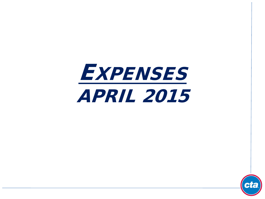

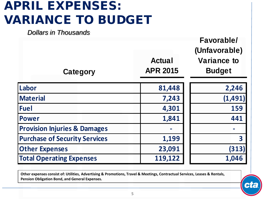# APRIL EXPENSES: VARIANCE TO BUDGET

*Dollars in Thousands*

| Category                                | <b>Actual</b><br><b>APR 2015</b> | <b>Favorable/</b><br>(Unfavorable)<br><b>Variance to</b><br><b>Budget</b> |
|-----------------------------------------|----------------------------------|---------------------------------------------------------------------------|
| Labor                                   | 81,448                           | 2,246                                                                     |
| <b>Material</b>                         | 7,243                            | (1,491)                                                                   |
| <b>Fuel</b>                             | 4,301                            | 159                                                                       |
| <b>Power</b>                            | 1,841                            | 441                                                                       |
| <b>Provision Injuries &amp; Damages</b> |                                  |                                                                           |
| <b>Purchase of Security Services</b>    | 1,199                            | $\overline{\mathbf{3}}$                                                   |
| <b>Other Expenses</b>                   | 23,091                           | (313)                                                                     |
| <b>Total Operating Expenses</b>         | 119,122                          | 1,046                                                                     |

**Other expenses consist of: Utilities, Advertising & Promotions, Travel & Meetings, Contractual Services, Leases & Rentals, Pension Obligation Bond, and General Expenses.**

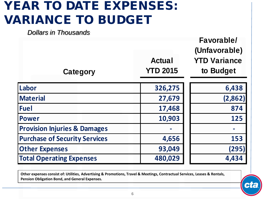### YEAR TO DATE EXPENSES: VARIANCE TO BUDGET

*Dollars in Thousands*

| Category                                | <b>Actual</b><br><b>YTD 2015</b> | <b>Favorable/</b><br>(Unfavorable)<br><b>YTD Variance</b><br>to Budget |
|-----------------------------------------|----------------------------------|------------------------------------------------------------------------|
| Labor                                   | 326,275                          | 6,438                                                                  |
| <b>Material</b>                         | 27,679                           | (2,862)                                                                |
| <b>Fuel</b>                             | 17,468                           | 874                                                                    |
| <b>Power</b>                            | 10,903                           | 125                                                                    |
| <b>Provision Injuries &amp; Damages</b> |                                  |                                                                        |
| <b>Purchase of Security Services</b>    | 4,656                            | 153                                                                    |
| <b>Other Expenses</b>                   | 93,049                           | (295)                                                                  |
| <b>Total Operating Expenses</b>         | 480,029                          | 4,434                                                                  |

**Other expenses consist of: Utilities, Advertising & Promotions, Travel & Meetings, Contractual Services, Leases & Rentals, Pension Obligation Bond, and General Expenses.**